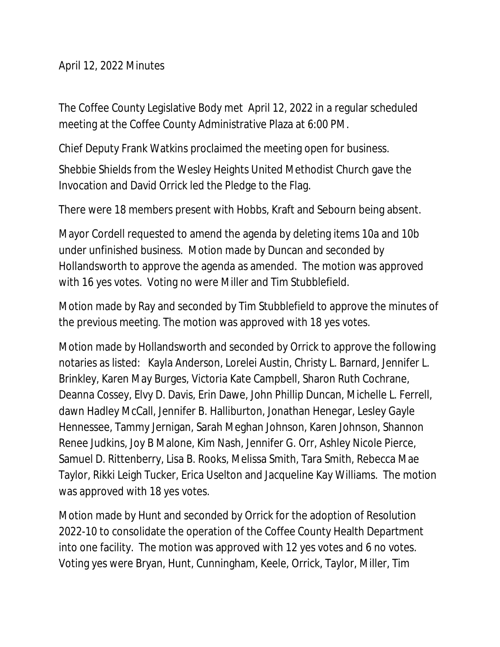April 12, 2022 Minutes

The Coffee County Legislative Body met April 12, 2022 in a regular scheduled meeting at the Coffee County Administrative Plaza at 6:00 PM.

Chief Deputy Frank Watkins proclaimed the meeting open for business.

Shebbie Shields from the Wesley Heights United Methodist Church gave the Invocation and David Orrick led the Pledge to the Flag.

There were 18 members present with Hobbs, Kraft and Sebourn being absent.

Mayor Cordell requested to amend the agenda by deleting items 10a and 10b under unfinished business. Motion made by Duncan and seconded by Hollandsworth to approve the agenda as amended. The motion was approved with 16 yes votes. Voting no were Miller and Tim Stubblefield.

Motion made by Ray and seconded by Tim Stubblefield to approve the minutes of the previous meeting. The motion was approved with 18 yes votes.

Motion made by Hollandsworth and seconded by Orrick to approve the following notaries as listed: Kayla Anderson, Lorelei Austin, Christy L. Barnard, Jennifer L. Brinkley, Karen May Burges, Victoria Kate Campbell, Sharon Ruth Cochrane, Deanna Cossey, Elvy D. Davis, Erin Dawe, John Phillip Duncan, Michelle L. Ferrell, dawn Hadley McCall, Jennifer B. Halliburton, Jonathan Henegar, Lesley Gayle Hennessee, Tammy Jernigan, Sarah Meghan Johnson, Karen Johnson, Shannon Renee Judkins, Joy B Malone, Kim Nash, Jennifer G. Orr, Ashley Nicole Pierce, Samuel D. Rittenberry, Lisa B. Rooks, Melissa Smith, Tara Smith, Rebecca Mae Taylor, Rikki Leigh Tucker, Erica Uselton and Jacqueline Kay Williams. The motion was approved with 18 yes votes.

Motion made by Hunt and seconded by Orrick for the adoption of Resolution 2022-10 to consolidate the operation of the Coffee County Health Department into one facility. The motion was approved with 12 yes votes and 6 no votes. Voting yes were Bryan, Hunt, Cunningham, Keele, Orrick, Taylor, Miller, Tim